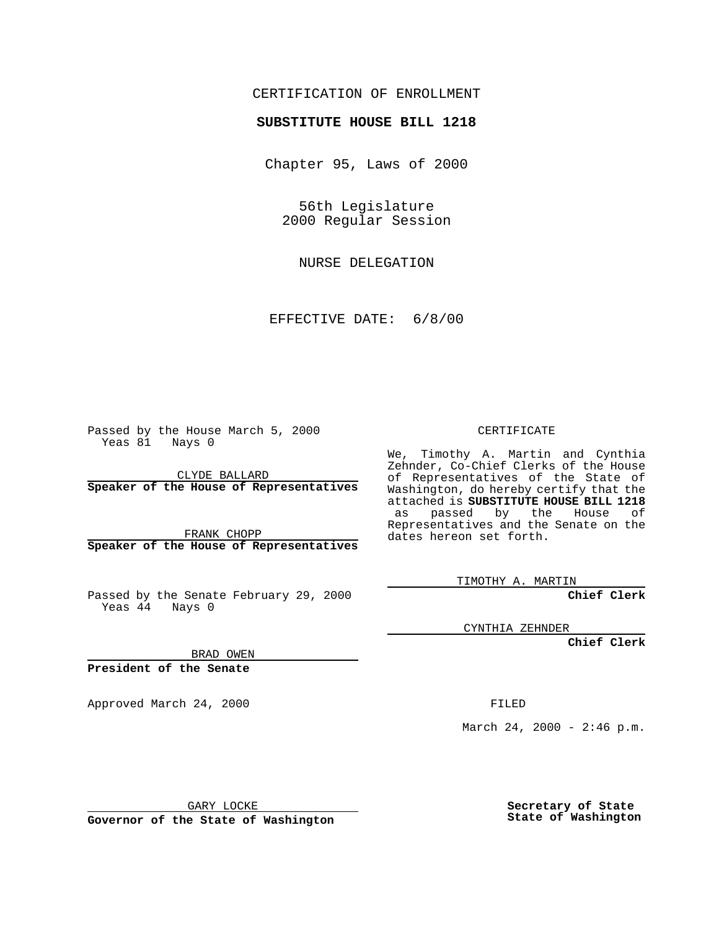## CERTIFICATION OF ENROLLMENT

## **SUBSTITUTE HOUSE BILL 1218**

Chapter 95, Laws of 2000

56th Legislature 2000 Regular Session

NURSE DELEGATION

EFFECTIVE DATE: 6/8/00

Passed by the House March 5, 2000 Yeas 81 Nays 0

CLYDE BALLARD **Speaker of the House of Representatives**

FRANK CHOPP **Speaker of the House of Representatives**

Passed by the Senate February 29, 2000 Yeas 44 Nays 0

BRAD OWEN

**President of the Senate**

Approved March 24, 2000 FILED

CERTIFICATE

We, Timothy A. Martin and Cynthia Zehnder, Co-Chief Clerks of the House of Representatives of the State of Washington, do hereby certify that the attached is **SUBSTITUTE HOUSE BILL 1218** as passed by the House of Representatives and the Senate on the dates hereon set forth.

TIMOTHY A. MARTIN

**Chief Clerk**

CYNTHIA ZEHNDER

**Chief Clerk**

March 24, 2000 - 2:46 p.m.

GARY LOCKE

**Governor of the State of Washington**

**Secretary of State State of Washington**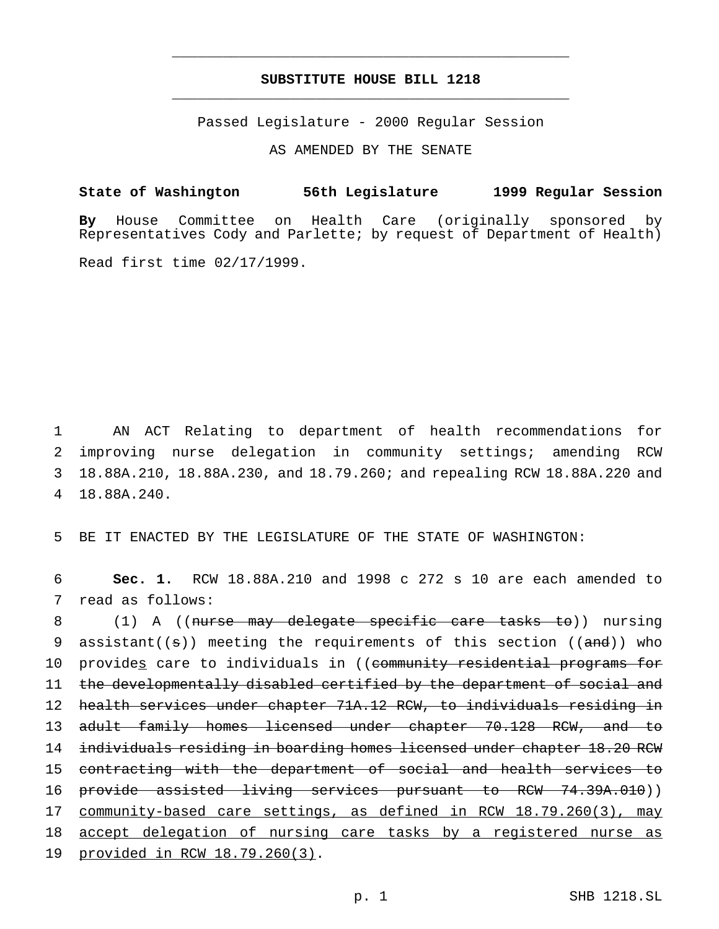## **SUBSTITUTE HOUSE BILL 1218** \_\_\_\_\_\_\_\_\_\_\_\_\_\_\_\_\_\_\_\_\_\_\_\_\_\_\_\_\_\_\_\_\_\_\_\_\_\_\_\_\_\_\_\_\_\_\_

\_\_\_\_\_\_\_\_\_\_\_\_\_\_\_\_\_\_\_\_\_\_\_\_\_\_\_\_\_\_\_\_\_\_\_\_\_\_\_\_\_\_\_\_\_\_\_

Passed Legislature - 2000 Regular Session

AS AMENDED BY THE SENATE

**State of Washington 56th Legislature 1999 Regular Session By** House Committee on Health Care (originally sponsored by Representatives Cody and Parlette; by request of Department of Health) Read first time 02/17/1999.

 AN ACT Relating to department of health recommendations for improving nurse delegation in community settings; amending RCW 18.88A.210, 18.88A.230, and 18.79.260; and repealing RCW 18.88A.220 and 18.88A.240.

5 BE IT ENACTED BY THE LEGISLATURE OF THE STATE OF WASHINGTON:

6 **Sec. 1.** RCW 18.88A.210 and 1998 c 272 s 10 are each amended to 7 read as follows:

8 (1) A ((nurse may delegate specific care tasks to)) nursing 9 assistant( $(s)$ ) meeting the requirements of this section ( $(and)$ ) who 10 provides care to individuals in ((community residential programs for 11 the developmentally disabled certified by the department of social and 12 health services under chapter 71A.12 RCW, to individuals residing in 13 adult family homes licensed under chapter 70.128 RCW, and to 14 individuals residing in boarding homes licensed under chapter 18.20 RCW 15 contracting with the department of social and health services to 16 provide assisted living services pursuant to RCW 74.39A.010)) 17 community-based care settings, as defined in RCW 18.79.260(3), may 18 accept delegation of nursing care tasks by a registered nurse as 19 provided in RCW 18.79.260(3).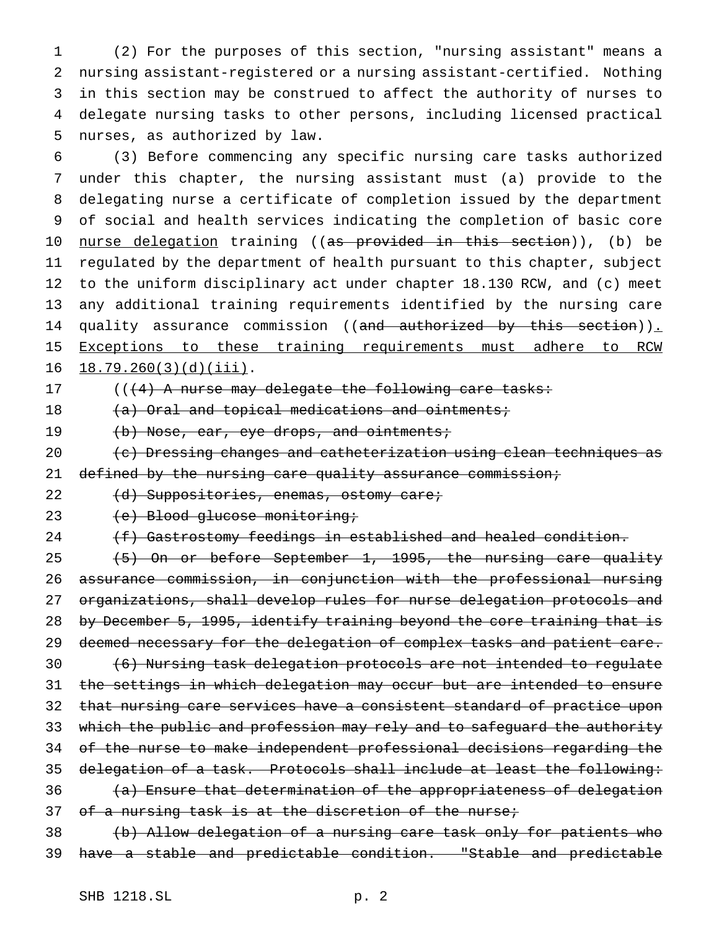(2) For the purposes of this section, "nursing assistant" means a nursing assistant-registered or a nursing assistant-certified. Nothing in this section may be construed to affect the authority of nurses to delegate nursing tasks to other persons, including licensed practical nurses, as authorized by law.

 (3) Before commencing any specific nursing care tasks authorized under this chapter, the nursing assistant must (a) provide to the delegating nurse a certificate of completion issued by the department of social and health services indicating the completion of basic core 10 nurse delegation training ((as provided in this section)), (b) be regulated by the department of health pursuant to this chapter, subject to the uniform disciplinary act under chapter 18.130 RCW, and (c) meet any additional training requirements identified by the nursing care 14 quality assurance commission ((and authorized by this section)). 15 Exceptions to these training requirements must adhere to RCW 18.79.260(3)(d)(iii).

17 (((4) A nurse may delegate the following care tasks:

18 (a) Oral and topical medications and ointments;

19 (b) Nose, ear, eye drops, and ointments;

20 (c) Dressing changes and catheterization using clean techniques as

21 defined by the nursing care quality assurance commission;

22 (d) Suppositories, enemas, ostomy care;

23 (e) Blood glucose monitoring;

24 (f) Gastrostomy feedings in established and healed condition.

25 (5) On or before September 1, 1995, the nursing care quality 26 assurance commission, in conjunction with the professional nursing 27 organizations, shall develop rules for nurse delegation protocols and 28 by December 5, 1995, identify training beyond the core training that is 29 deemed necessary for the delegation of complex tasks and patient care. 30 (6) Nursing task delegation protocols are not intended to regulate 31 the settings in which delegation may occur but are intended to ensure 32 that nursing care services have a consistent standard of practice upon 33 which the public and profession may rely and to safeguard the authority 34 of the nurse to make independent professional decisions regarding the 35 delegation of a task. Protocols shall include at least the following: 36 (a) Ensure that determination of the appropriateness of delegation 37 of a nursing task is at the discretion of the nurse; 38 (b) Allow delegation of a nursing care task only for patients who

39 have a stable and predictable condition. "Stable and predictable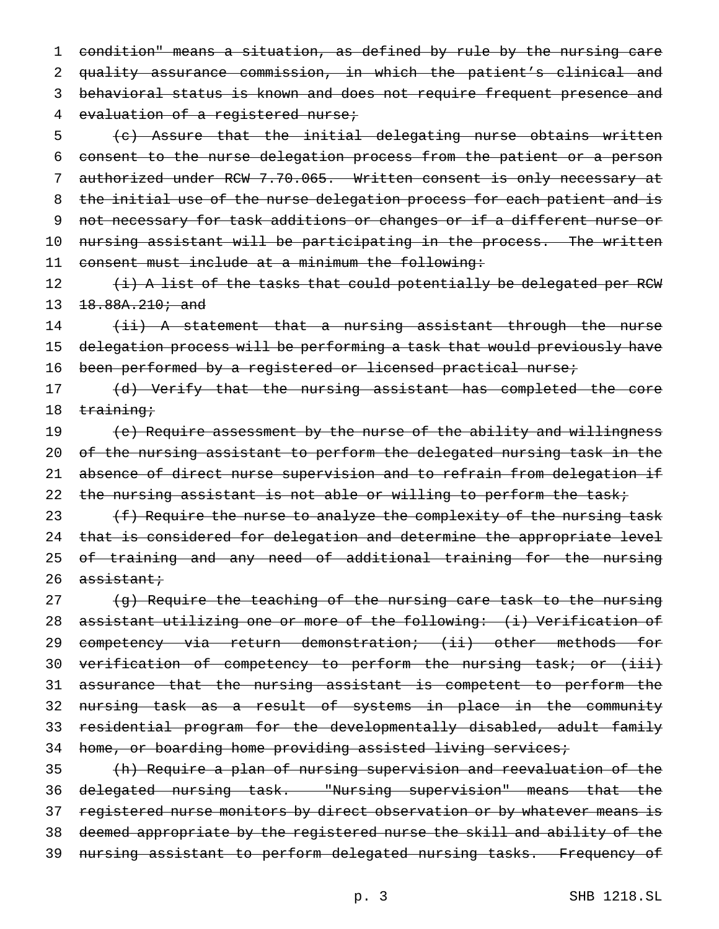condition" means a situation, as defined by rule by the nursing care quality assurance commission, in which the patient's clinical and behavioral status is known and does not require frequent presence and 4 evaluation of a registered nurse;

5 (c) Assure that the initial delegating nurse obtains written 6 consent to the nurse delegation process from the patient or a person 7 authorized under RCW 7.70.065. Written consent is only necessary at 8 the initial use of the nurse delegation process for each patient and is 9 not necessary for task additions or changes or if a different nurse or 10 nursing assistant will be participating in the process. The written 11 consent must include at a minimum the following:

12 (i) A list of the tasks that could potentially be delegated per RCW 13 18.88A.210; and

14 (ii) A statement that a nursing assistant through the nurse 15 delegation process will be performing a task that would previously have 16 been performed by a registered or licensed practical nurse;

17 (d) Verify that the nursing assistant has completed the core 18 training;

19 (e) Require assessment by the nurse of the ability and willingness 20 of the nursing assistant to perform the delegated nursing task in the 21 absence of direct nurse supervision and to refrain from delegation if 22 the nursing assistant is not able or willing to perform the task;

23 (f) Require the nurse to analyze the complexity of the nursing task 24 that is considered for delegation and determine the appropriate level 25 of training and any need of additional training for the nursing 26 assistant;

27  $(g)$  Require the teaching of the nursing care task to the nursing 28 assistant utilizing one or more of the following: (i) Verification of 29 competency via return demonstration; (ii) other methods for 30 verification of competency to perform the nursing task; or (iii) 31 assurance that the nursing assistant is competent to perform the 32 nursing task as a result of systems in place in the community 33 residential program for the developmentally disabled, adult family 34 home, or boarding home providing assisted living services;

 (h) Require a plan of nursing supervision and reevaluation of the delegated nursing task. "Nursing supervision" means that the 37 registered nurse monitors by direct observation or by whatever means is deemed appropriate by the registered nurse the skill and ability of the nursing assistant to perform delegated nursing tasks. Frequency of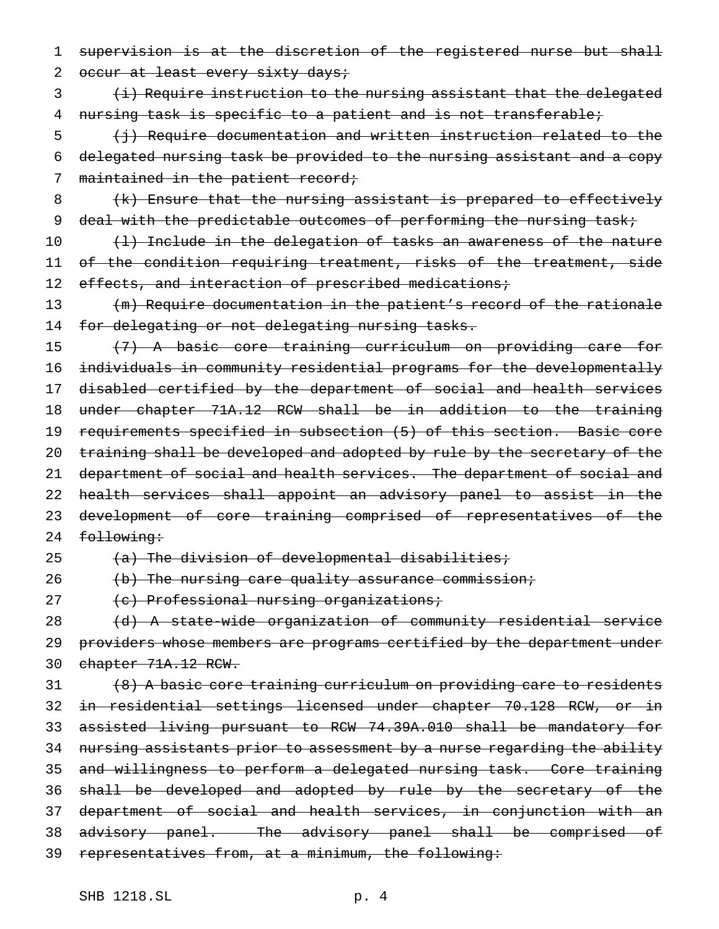1 supervision is at the discretion of the registered nurse but shall

2 occur at least every sixty days;

3 (i) Require instruction to the nursing assistant that the delegated 4 nursing task is specific to a patient and is not transferable;

 $\frac{1}{1}$  Require documentation and written instruction related to the 6 delegated nursing task be provided to the nursing assistant and a copy 7 maintained in the patient record;

8 (k) Ensure that the nursing assistant is prepared to effectively 9 deal with the predictable outcomes of performing the nursing task;

10 (1) Include in the delegation of tasks an awareness of the nature 11 of the condition requiring treatment, risks of the treatment, side 12 effects, and interaction of prescribed medications;

13 (m) Require documentation in the patient's record of the rationale 14 for delegating or not delegating nursing tasks.

 (7) A basic core training curriculum on providing care for individuals in community residential programs for the developmentally disabled certified by the department of social and health services under chapter 71A.12 RCW shall be in addition to the training requirements specified in subsection (5) of this section. Basic core 20 training shall be developed and adopted by rule by the secretary of the 21 department of social and health services. The department of social and health services shall appoint an advisory panel to assist in the development of core training comprised of representatives of the 24 following:

25 (a) The division of developmental disabilities;

26 (b) The nursing care quality assurance commission;

27 (c) Professional nursing organizations;

28 (d) A state-wide organization of community residential service 29 providers whose members are programs certified by the department under 30 chapter 71A.12 RCW.

 (8) A basic core training curriculum on providing care to residents in residential settings licensed under chapter 70.128 RCW, or in assisted living pursuant to RCW 74.39A.010 shall be mandatory for 34 nursing assistants prior to assessment by a nurse regarding the ability and willingness to perform a delegated nursing task. Core training shall be developed and adopted by rule by the secretary of the department of social and health services, in conjunction with an advisory panel. The advisory panel shall be comprised of representatives from, at a minimum, the following: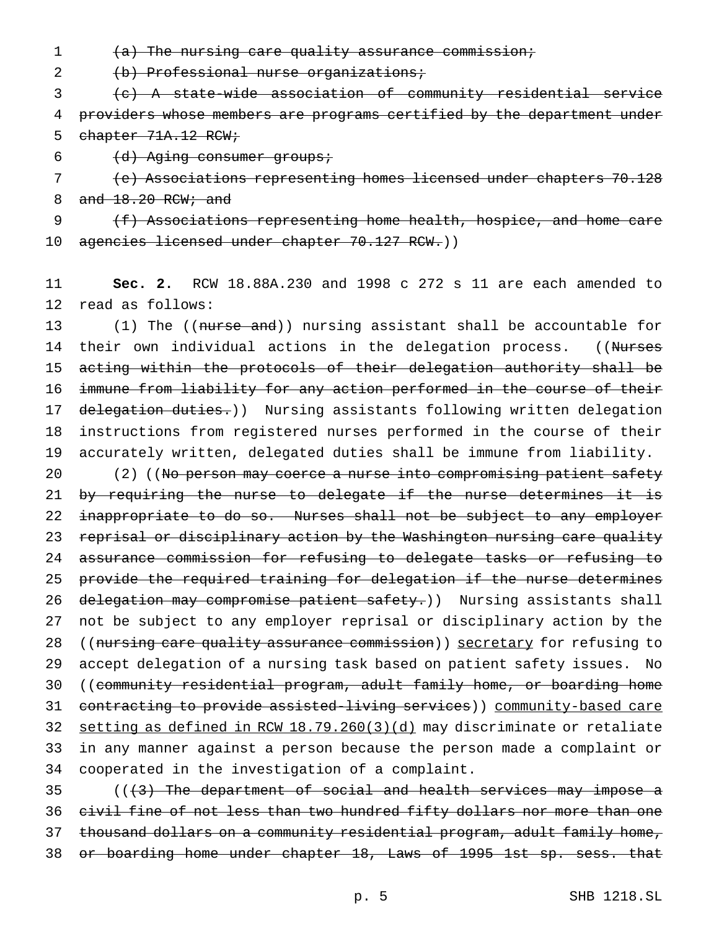1 (a) The nursing care quality assurance commission;

2 (b) Professional nurse organizations;

3 (c) A state-wide association of community residential service 4 providers whose members are programs certified by the department under 5 chapter 71A.12 RCW;

6  $(d)$  Aging consumer groups;

7 (e) Associations representing homes licensed under chapters 70.128 8 and 18.20 RCW; and

9 (f) Associations representing home health, hospice, and home care 10 agencies licensed under chapter 70.127 RCW.))

11 **Sec. 2.** RCW 18.88A.230 and 1998 c 272 s 11 are each amended to 12 read as follows:

13 (1) The ((nurse and)) nursing assistant shall be accountable for 14 their own individual actions in the delegation process. ((Nurses 15 acting within the protocols of their delegation authority shall be 16 immune from liability for any action performed in the course of their 17 delegation duties.)) Nursing assistants following written delegation 18 instructions from registered nurses performed in the course of their 19 accurately written, delegated duties shall be immune from liability.

20 (2) ((No person may coerce a nurse into compromising patient safety 21 by requiring the nurse to delegate if the nurse determines it is inappropriate to do so. Nurses shall not be subject to any employer reprisal or disciplinary action by the Washington nursing care quality assurance commission for refusing to delegate tasks or refusing to provide the required training for delegation if the nurse determines 26 delegation may compromise patient safety.)) Nursing assistants shall not be subject to any employer reprisal or disciplinary action by the 28 ((nursing care quality assurance commission)) secretary for refusing to accept delegation of a nursing task based on patient safety issues. No ((community residential program, adult family home, or boarding home contracting to provide assisted-living services)) community-based care setting as defined in RCW 18.79.260(3)(d) may discriminate or retaliate in any manner against a person because the person made a complaint or cooperated in the investigation of a complaint.

 $35$  ( $(\frac{43}{10})$  The department of social and health services may impose a 36 civil fine of not less than two hundred fifty dollars nor more than one 37 thousand dollars on a community residential program, adult family home, 38 or boarding home under chapter 18, Laws of 1995 1st sp. sess. that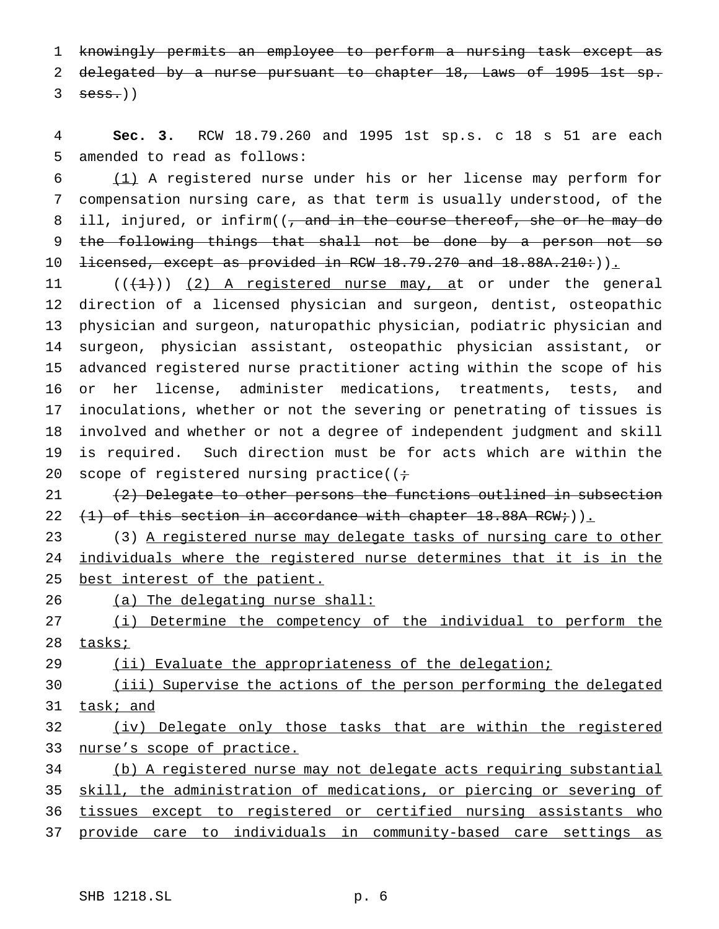knowingly permits an employee to perform a nursing task except as delegated by a nurse pursuant to chapter 18, Laws of 1995 1st sp.  $\text{sess.}$ )

 **Sec. 3.** RCW 18.79.260 and 1995 1st sp.s. c 18 s 51 are each amended to read as follows:

 (1) A registered nurse under his or her license may perform for compensation nursing care, as that term is usually understood, of the 8 ill, injured, or infirm( $(-$  and in the course thereof, she or he may do the following things that shall not be done by a person not so 10 <del>licensed, except as provided in RCW 18.79.270 and 18.88A.210:</del>))<u>.</u>

 $((+1))$   $(2)$  A registered nurse may, at or under the general direction of a licensed physician and surgeon, dentist, osteopathic physician and surgeon, naturopathic physician, podiatric physician and surgeon, physician assistant, osteopathic physician assistant, or advanced registered nurse practitioner acting within the scope of his or her license, administer medications, treatments, tests, and inoculations, whether or not the severing or penetrating of tissues is involved and whether or not a degree of independent judgment and skill is required. Such direction must be for acts which are within the 20 scope of registered nursing practice( $(i \div j)$ 

21 (2) Delegate to other persons the functions outlined in subsection 22 (1) of this section in accordance with chapter 18.88A RCW;)).

23 (3) A registered nurse may delegate tasks of nursing care to other individuals where the registered nurse determines that it is in the best interest of the patient.

(a) The delegating nurse shall:

 (i) Determine the competency of the individual to perform the 28 tasks;

29 (ii) Evaluate the appropriateness of the delegation;

 (iii) Supervise the actions of the person performing the delegated 31 task; and

 (iv) Delegate only those tasks that are within the registered 33 nurse's scope of practice.

(b) A registered nurse may not delegate acts requiring substantial

skill, the administration of medications, or piercing or severing of

tissues except to registered or certified nursing assistants who

provide care to individuals in community-based care settings as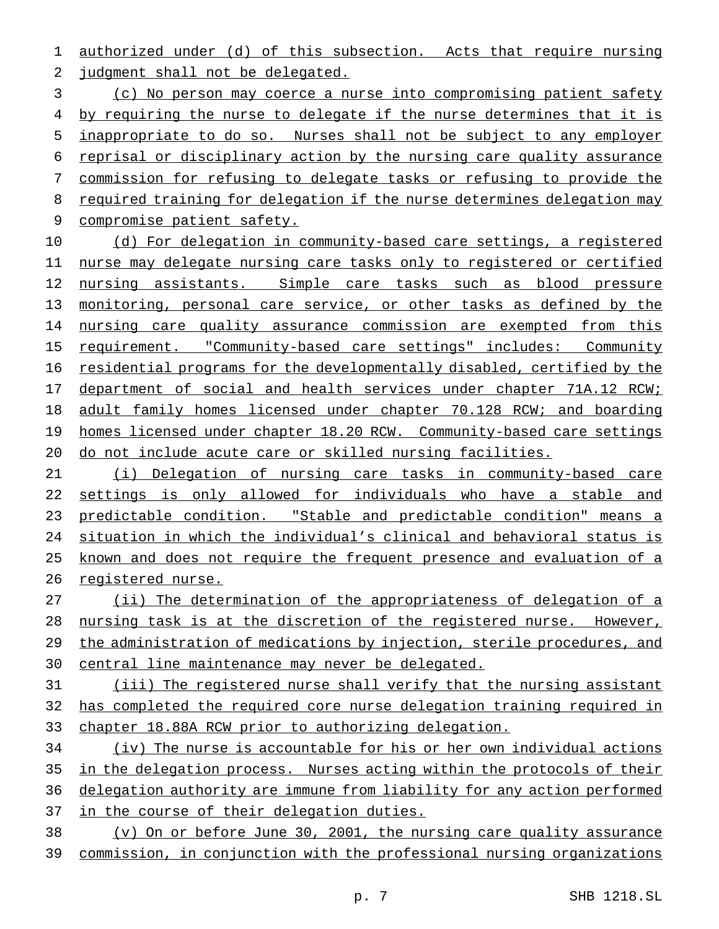authorized under (d) of this subsection. Acts that require nursing 2 judgment shall not be delegated.

 (c) No person may coerce a nurse into compromising patient safety by requiring the nurse to delegate if the nurse determines that it is inappropriate to do so. Nurses shall not be subject to any employer reprisal or disciplinary action by the nursing care quality assurance commission for refusing to delegate tasks or refusing to provide the required training for delegation if the nurse determines delegation may compromise patient safety.

 (d) For delegation in community-based care settings, a registered nurse may delegate nursing care tasks only to registered or certified 12 nursing assistants. Simple care tasks such as blood pressure monitoring, personal care service, or other tasks as defined by the nursing care quality assurance commission are exempted from this 15 requirement. "Community-based care settings" includes: Community residential programs for the developmentally disabled, certified by the 17 department of social and health services under chapter 71A.12 RCW; adult family homes licensed under chapter 70.128 RCW; and boarding homes licensed under chapter 18.20 RCW. Community-based care settings do not include acute care or skilled nursing facilities.

 (i) Delegation of nursing care tasks in community-based care settings is only allowed for individuals who have a stable and predictable condition. "Stable and predictable condition" means a situation in which the individual's clinical and behavioral status is known and does not require the frequent presence and evaluation of a registered nurse.

 (ii) The determination of the appropriateness of delegation of a nursing task is at the discretion of the registered nurse. However, the administration of medications by injection, sterile procedures, and 30 central line maintenance may never be delegated.

 (iii) The registered nurse shall verify that the nursing assistant has completed the required core nurse delegation training required in chapter 18.88A RCW prior to authorizing delegation.

 (iv) The nurse is accountable for his or her own individual actions in the delegation process. Nurses acting within the protocols of their delegation authority are immune from liability for any action performed in the course of their delegation duties.

 (v) On or before June 30, 2001, the nursing care quality assurance commission, in conjunction with the professional nursing organizations